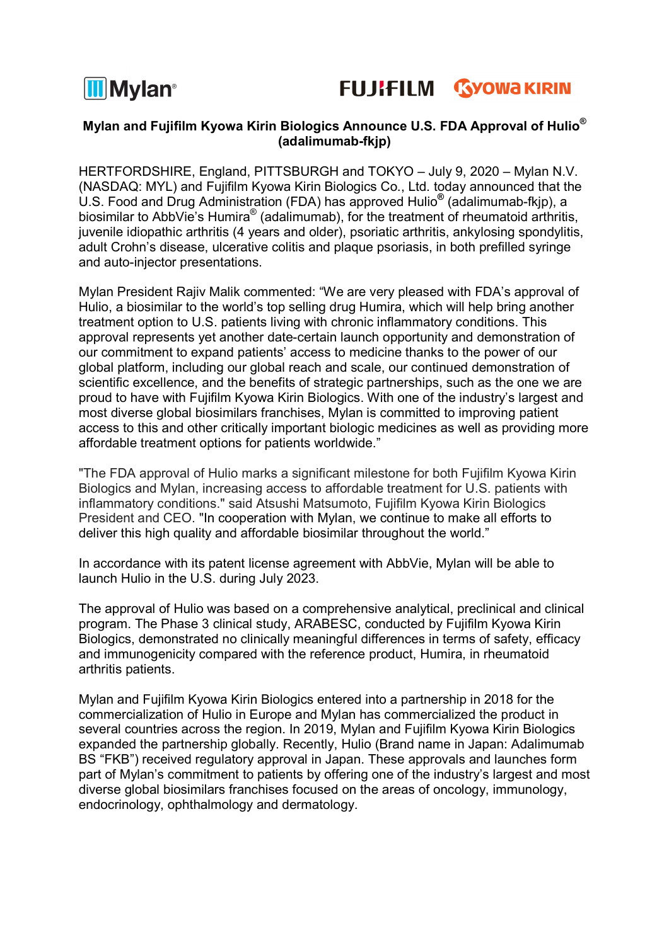



# Mylan and Fujifilm Kyowa Kirin Biologics Announce U.S. FDA Approval of Hulio<sup>®</sup> (adalimumab-fkjp)

HERTFORDSHIRE, England, PITTSBURGH and TOKYO – July 9, 2020 – Mylan N.V. (NASDAQ: MYL) and Fujifilm Kyowa Kirin Biologics Co., Ltd. today announced that the U.S. Food and Drug Administration (FDA) has approved Hulio® (adalimumab-fkjp), a biosimilar to AbbVie's Humira® (adalimumab), for the treatment of rheumatoid arthritis, juvenile idiopathic arthritis (4 years and older), psoriatic arthritis, ankylosing spondylitis, adult Crohn's disease, ulcerative colitis and plaque psoriasis, in both prefilled syringe and auto-injector presentations.

Mylan President Rajiv Malik commented: "We are very pleased with FDA's approval of Hulio, a biosimilar to the world's top selling drug Humira, which will help bring another treatment option to U.S. patients living with chronic inflammatory conditions. This approval represents yet another date-certain launch opportunity and demonstration of our commitment to expand patients' access to medicine thanks to the power of our global platform, including our global reach and scale, our continued demonstration of scientific excellence, and the benefits of strategic partnerships, such as the one we are proud to have with Fujifilm Kyowa Kirin Biologics. With one of the industry's largest and most diverse global biosimilars franchises, Mylan is committed to improving patient access to this and other critically important biologic medicines as well as providing more affordable treatment options for patients worldwide."

"The FDA approval of Hulio marks a significant milestone for both Fujifilm Kyowa Kirin Biologics and Mylan, increasing access to affordable treatment for U.S. patients with inflammatory conditions." said Atsushi Matsumoto, Fujifilm Kyowa Kirin Biologics President and CEO. "In cooperation with Mylan, we continue to make all efforts to deliver this high quality and affordable biosimilar throughout the world."

In accordance with its patent license agreement with AbbVie, Mylan will be able to launch Hulio in the U.S. during July 2023.

The approval of Hulio was based on a comprehensive analytical, preclinical and clinical program. The Phase 3 clinical study, ARABESC, conducted by Fujifilm Kyowa Kirin Biologics, demonstrated no clinically meaningful differences in terms of safety, efficacy and immunogenicity compared with the reference product, Humira, in rheumatoid arthritis patients.

Mylan and Fujifilm Kyowa Kirin Biologics entered into a partnership in 2018 for the commercialization of Hulio in Europe and Mylan has commercialized the product in several countries across the region. In 2019, Mylan and Fujifilm Kyowa Kirin Biologics expanded the partnership globally. Recently, Hulio (Brand name in Japan: Adalimumab BS "FKB") received regulatory approval in Japan. These approvals and launches form part of Mylan's commitment to patients by offering one of the industry's largest and most diverse global biosimilars franchises focused on the areas of oncology, immunology, endocrinology, ophthalmology and dermatology.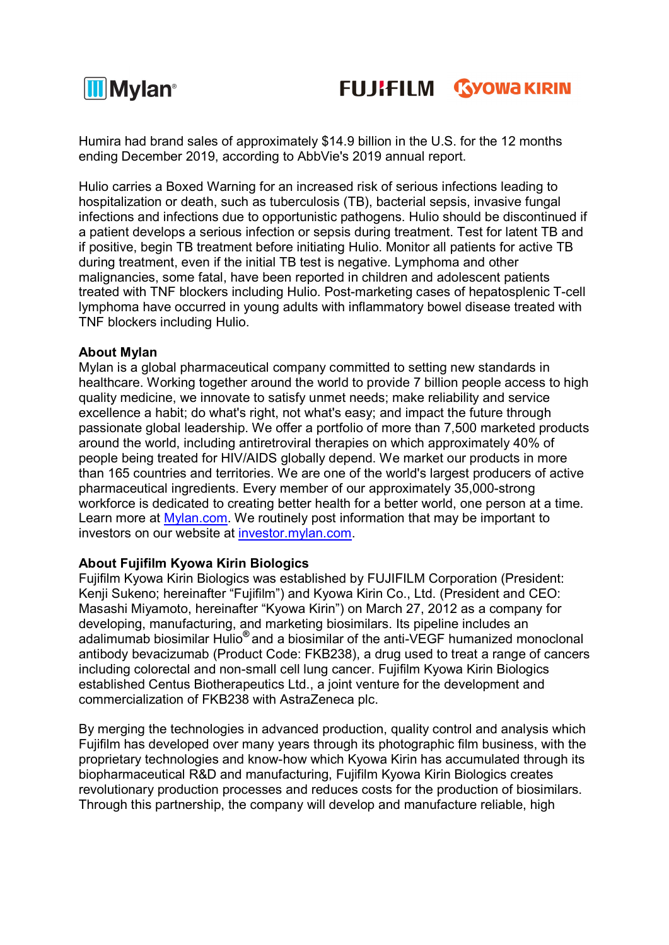

Humira had brand sales of approximately \$14.9 billion in the U.S. for the 12 months ending December 2019, according to AbbVie's 2019 annual report.

Hulio carries a Boxed Warning for an increased risk of serious infections leading to hospitalization or death, such as tuberculosis (TB), bacterial sepsis, invasive fungal infections and infections due to opportunistic pathogens. Hulio should be discontinued if a patient develops a serious infection or sepsis during treatment. Test for latent TB and if positive, begin TB treatment before initiating Hulio. Monitor all patients for active TB during treatment, even if the initial TB test is negative. Lymphoma and other malignancies, some fatal, have been reported in children and adolescent patients treated with TNF blockers including Hulio. Post-marketing cases of hepatosplenic T-cell lymphoma have occurred in young adults with inflammatory bowel disease treated with TNF blockers including Hulio.

## About Mylan

Mylan is a global pharmaceutical company committed to setting new standards in healthcare. Working together around the world to provide 7 billion people access to high quality medicine, we innovate to satisfy unmet needs; make reliability and service excellence a habit; do what's right, not what's easy; and impact the future through passionate global leadership. We offer a portfolio of more than 7,500 marketed products around the world, including antiretroviral therapies on which approximately 40% of people being treated for HIV/AIDS globally depend. We market our products in more than 165 countries and territories. We are one of the world's largest producers of active pharmaceutical ingredients. Every member of our approximately 35,000-strong workforce is dedicated to creating better health for a better world, one person at a time. Learn more at Mylan.com. We routinely post information that may be important to investors on our website at investor.mylan.com.

#### About Fujifilm Kyowa Kirin Biologics

Fujifilm Kyowa Kirin Biologics was established by FUJIFILM Corporation (President: Kenji Sukeno; hereinafter "Fujifilm") and Kyowa Kirin Co., Ltd. (President and CEO: Masashi Miyamoto, hereinafter "Kyowa Kirin") on March 27, 2012 as a company for developing, manufacturing, and marketing biosimilars. Its pipeline includes an adalimumab biosimilar Hulio® and a biosimilar of the anti-VEGF humanized monoclonal antibody bevacizumab (Product Code: FKB238), a drug used to treat a range of cancers including colorectal and non-small cell lung cancer. Fujifilm Kyowa Kirin Biologics established Centus Biotherapeutics Ltd., a joint venture for the development and commercialization of FKB238 with AstraZeneca plc.

By merging the technologies in advanced production, quality control and analysis which Fujifilm has developed over many years through its photographic film business, with the proprietary technologies and know-how which Kyowa Kirin has accumulated through its biopharmaceutical R&D and manufacturing, Fujifilm Kyowa Kirin Biologics creates revolutionary production processes and reduces costs for the production of biosimilars. Through this partnership, the company will develop and manufacture reliable, high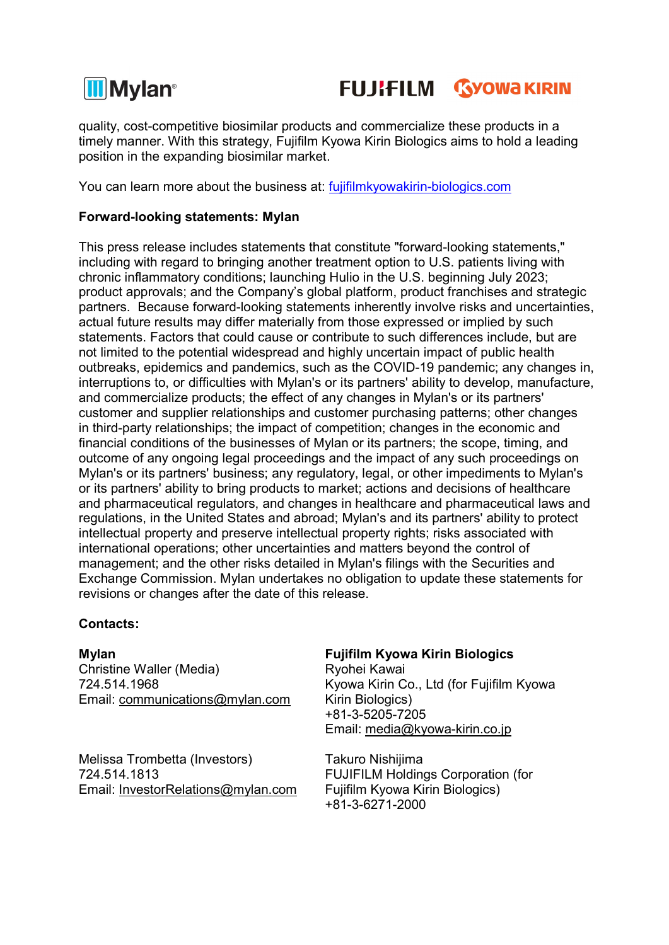



quality, cost-competitive biosimilar products and commercialize these products in a timely manner. With this strategy, Fujifilm Kyowa Kirin Biologics aims to hold a leading position in the expanding biosimilar market.

You can learn more about the business at: fujifilmkyowakirin-biologics.com

## Forward-looking statements: Mylan

This press release includes statements that constitute "forward-looking statements," including with regard to bringing another treatment option to U.S. patients living with chronic inflammatory conditions; launching Hulio in the U.S. beginning July 2023; product approvals; and the Company's global platform, product franchises and strategic partners. Because forward-looking statements inherently involve risks and uncertainties, actual future results may differ materially from those expressed or implied by such statements. Factors that could cause or contribute to such differences include, but are not limited to the potential widespread and highly uncertain impact of public health outbreaks, epidemics and pandemics, such as the COVID-19 pandemic; any changes in, interruptions to, or difficulties with Mylan's or its partners' ability to develop, manufacture, and commercialize products; the effect of any changes in Mylan's or its partners' customer and supplier relationships and customer purchasing patterns; other changes in third-party relationships; the impact of competition; changes in the economic and financial conditions of the businesses of Mylan or its partners; the scope, timing, and outcome of any ongoing legal proceedings and the impact of any such proceedings on Mylan's or its partners' business; any regulatory, legal, or other impediments to Mylan's or its partners' ability to bring products to market; actions and decisions of healthcare and pharmaceutical regulators, and changes in healthcare and pharmaceutical laws and regulations, in the United States and abroad; Mylan's and its partners' ability to protect intellectual property and preserve intellectual property rights; risks associated with international operations; other uncertainties and matters beyond the control of management; and the other risks detailed in Mylan's filings with the Securities and Exchange Commission. Mylan undertakes no obligation to update these statements for revisions or changes after the date of this release.

## Contacts:

Christine Waller (Media) 724.514.1968 Email: communications@mylan.com

Melissa Trombetta (Investors) 724.514.1813 Email: InvestorRelations@mylan.com

## Mylan Fujifilm Kyowa Kirin Biologics

Ryohei Kawai Kyowa Kirin Co., Ltd (for Fujifilm Kyowa Kirin Biologics) +81-3-5205-7205 Email: media@kyowa-kirin.co.jp

Takuro Nishijima FUJIFILM Holdings Corporation (for Fujifilm Kyowa Kirin Biologics) +81-3-6271-2000